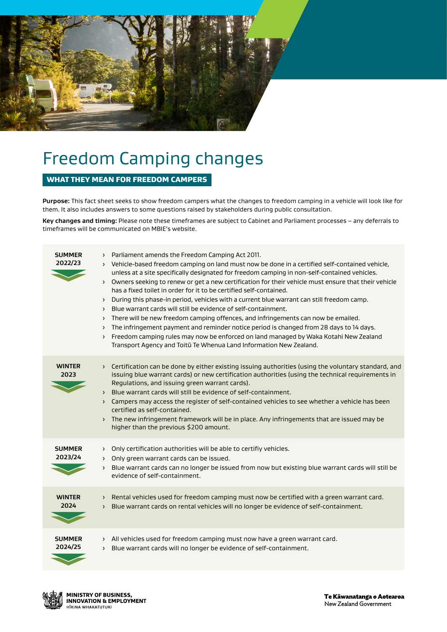

# Freedom Camping changes

### WHAT THEY MEAN FOR FREEDOM CAMPERS

**Purpose:** This fact sheet seeks to show freedom campers what the changes to freedom camping in a vehicle will look like for them. It also includes answers to some questions raised by stakeholders during public consultation.

**Key changes and timing:** Please note these timeframes are subject to Cabinet and Parliament processes – any deferrals to timeframes will be communicated on MBIE's website.

| <b>SUMMER</b><br>2022/23 | > Parliament amends the Freedom Camping Act 2011.<br>> Vehicle-based freedom camping on land must now be done in a certified self-contained vehicle,<br>unless at a site specifically designated for freedom camping in non-self-contained vehicles.<br>Owners seeking to renew or get a new certification for their vehicle must ensure that their vehicle<br>$\lambda$<br>has a fixed toilet in order for it to be certified self-contained.<br>> During this phase-in period, vehicles with a current blue warrant can still freedom camp.<br>> Blue warrant cards will still be evidence of self-containment.<br>There will be new freedom camping offences, and infringements can now be emailed.<br>$\lambda$<br>The infringement payment and reminder notice period is changed from 28 days to 14 days.<br>$\rightarrow$<br>Freedom camping rules may now be enforced on land managed by Waka Kotahi New Zealand<br>$\left( \right)$<br>Transport Agency and Toitū Te Whenua Land Information New Zealand. |
|--------------------------|-------------------------------------------------------------------------------------------------------------------------------------------------------------------------------------------------------------------------------------------------------------------------------------------------------------------------------------------------------------------------------------------------------------------------------------------------------------------------------------------------------------------------------------------------------------------------------------------------------------------------------------------------------------------------------------------------------------------------------------------------------------------------------------------------------------------------------------------------------------------------------------------------------------------------------------------------------------------------------------------------------------------|
| <b>WINTER</b><br>2023    | Certification can be done by either existing issuing authorities (using the voluntary standard, and<br>$\sum_{i=1}^{n}$<br>issuing blue warrant cards) or new certification authorities (using the technical requirements in<br>Regulations, and issuing green warrant cards).<br>Blue warrant cards will still be evidence of self-containment.<br>$\lambda$<br>> Campers may access the register of self-contained vehicles to see whether a vehicle has been<br>certified as self-contained.<br>> The new infringement framework will be in place. Any infringements that are issued may be<br>higher than the previous \$200 amount.                                                                                                                                                                                                                                                                                                                                                                          |
| <b>SUMMER</b><br>2023/24 | > Only certification authorities will be able to certifiy vehicles.<br>Only green warrant cards can be issued.<br>$\sum_{i=1}^{n}$<br>Blue warrant cards can no longer be issued from now but existing blue warrant cards will still be<br>$\left( \right)$<br>evidence of self-containment.                                                                                                                                                                                                                                                                                                                                                                                                                                                                                                                                                                                                                                                                                                                      |
| <b>WINTER</b><br>2024    | > Rental vehicles used for freedom camping must now be certified with a green warrant card.<br>Blue warrant cards on rental vehicles will no longer be evidence of self-containment.<br>$\sum_{i=1}^{n}$                                                                                                                                                                                                                                                                                                                                                                                                                                                                                                                                                                                                                                                                                                                                                                                                          |
| <b>SUMMER</b><br>2024/25 | > All vehicles used for freedom camping must now have a green warrant card.<br>> Blue warrant cards will no longer be evidence of self-containment.                                                                                                                                                                                                                                                                                                                                                                                                                                                                                                                                                                                                                                                                                                                                                                                                                                                               |

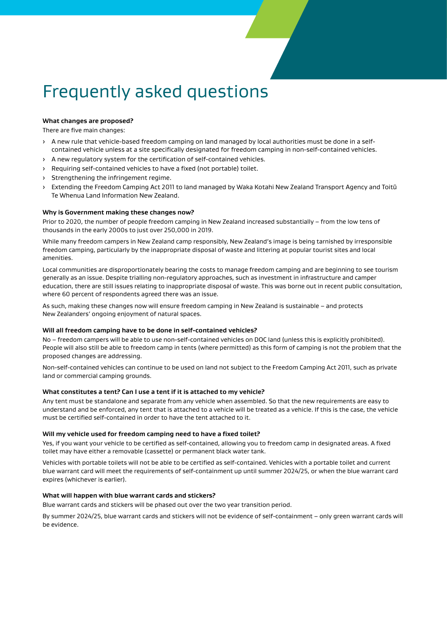# Frequently asked questions

#### **What changes are proposed?**

There are five main changes:

- › A new rule that vehicle-based freedom camping on land managed by local authorities must be done in a selfcontained vehicle unless at a site specifically designated for freedom camping in non-self-contained vehicles.
- › A new regulatory system for the certification of self-contained vehicles.
- › Requiring self-contained vehicles to have a fixed (not portable) toilet.
- › Strengthening the infringement regime.
- › Extending the Freedom Camping Act 2011 to land managed by Waka Kotahi New Zealand Transport Agency and Toitū Te Whenua Land Information New Zealand.

#### **Why is Government making these changes now?**

Prior to 2020, the number of people freedom camping in New Zealand increased substantially – from the low tens of thousands in the early 2000s to just over 250,000 in 2019.

While many freedom campers in New Zealand camp responsibly, New Zealand's image is being tarnished by irresponsible freedom camping, particularly by the inappropriate disposal of waste and littering at popular tourist sites and local amenities.

Local communities are disproportionately bearing the costs to manage freedom camping and are beginning to see tourism generally as an issue. Despite trialling non-regulatory approaches, such as investment in infrastructure and camper education, there are still issues relating to inappropriate disposal of waste. This was borne out in recent public consultation, where 60 percent of respondents agreed there was an issue.

As such, making these changes now will ensure freedom camping in New Zealand is sustainable – and protects New Zealanders' ongoing enjoyment of natural spaces.

#### **Will all freedom camping have to be done in self-contained vehicles?**

No – freedom campers will be able to use non-self-contained vehicles on DOC land (unless this is explicitly prohibited). People will also still be able to freedom camp in tents (where permitted) as this form of camping is not the problem that the proposed changes are addressing.

Non-self-contained vehicles can continue to be used on land not subject to the Freedom Camping Act 2011, such as private land or commercial camping grounds.

#### **What constitutes a tent? Can I use a tent if it is attached to my vehicle?**

Any tent must be standalone and separate from any vehicle when assembled. So that the new requirements are easy to understand and be enforced, any tent that is attached to a vehicle will be treated as a vehicle. If this is the case, the vehicle must be certified self-contained in order to have the tent attached to it.

#### **Will my vehicle used for freedom camping need to have a fixed toilet?**

Yes, if you want your vehicle to be certified as self-contained, allowing you to freedom camp in designated areas. A fixed toilet may have either a removable (cassette) or permanent black water tank.

Vehicles with portable toilets will not be able to be certified as self-contained. Vehicles with a portable toilet and current blue warrant card will meet the requirements of self-containment up until summer 2024/25, or when the blue warrant card expires (whichever is earlier).

#### **What will happen with blue warrant cards and stickers?**

Blue warrant cards and stickers will be phased out over the two year transition period.

By summer 2024/25, blue warrant cards and stickers will not be evidence of self-containment – only green warrant cards will be evidence.